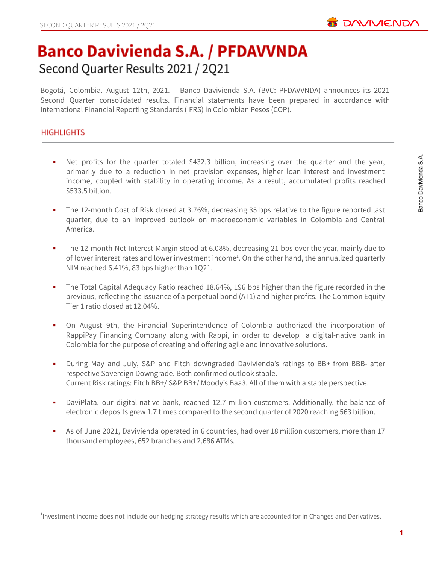

# **Banco Davivienda S.A. / PFDAVVNDA** Second Quarter Results 2021 / 2Q21

Bogotá, Colombia. August 12th, 2021. – Banco Davivienda S.A. (BVC: PFDAVVNDA) announces its 2021 Second Quarter consolidated results. Financial statements have been prepared in accordance with International Financial Reporting Standards (IFRS) in Colombian Pesos (COP).

# **HIGHLIGHTS**

- Net profits for the quarter totaled \$432.3 billion, increasing over the quarter and the year, primarily due to a reduction in net provision expenses, higher loan interest and investment income, coupled with stability in operating income. As a result, accumulated profits reached \$533.5 billion.
- **•** The 12-month Cost of Risk closed at 3.76%, decreasing 35 bps relative to the figure reported last quarter, due to an improved outlook on macroeconomic variables in Colombia and Central America.
- **•** The 12-month Net Interest Margin stood at 6.08%, decreasing 21 bps over the year, mainly due to of lower interest rates and lower investment income<sup>1</sup>. On the other hand, the annualized quarterly NIM reached 6.41%, 83 bps higher than 1Q21.
- **•** The Total Capital Adequacy Ratio reached 18.64%, 196 bps higher than the figure recorded in the previous, reflecting the issuance of a perpetual bond (AT1) and higher profits. The Common Equity Tier 1 ratio closed at 12.04%.
- On August 9th, the Financial Superintendence of Colombia authorized the incorporation of RappiPay Financing Company along with Rappi, in order to develop a digital-native bank in Colombia for the purpose of creating and offering agile and innovative solutions.
- During May and July, S&P and Fitch downgraded Davivienda's ratings to BB+ from BBB- after respective Sovereign Downgrade. Both confirmed outlook stable. Current Risk ratings: Fitch BB+/ S&P BB+/ Moody's Baa3. All of them with a stable perspective.
- DaviPlata, our digital-native bank, reached 12.7 million customers. Additionally, the balance of electronic deposits grew 1.7 times compared to the second quarter of 2020 reaching 563 billion.
- As of June 2021, Davivienda operated in 6 countries, had over 18 million customers, more than 17 thousand employees, 652 branches and 2,686 ATMs.

<sup>&</sup>lt;sup>1</sup>Investment income does not include our hedging strategy results which are accounted for in Changes and Derivatives.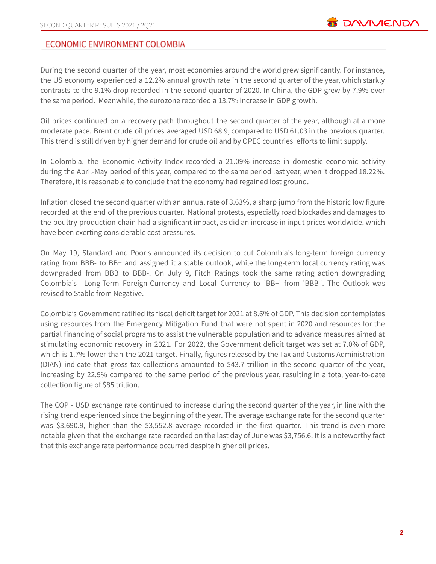# **ECONOMIC ENVIRONMENT COLOMBIA**

During the second quarter of the year, most economies around the world grew significantly. For instance, the US economy experienced a 12.2% annual growth rate in the second quarter of the year, which starkly contrasts to the 9.1% drop recorded in the second quarter of 2020. In China, the GDP grew by 7.9% over the same period. Meanwhile, the eurozone recorded a 13.7% increase in GDP growth.

Oil prices continued on a recovery path throughout the second quarter of the year, although at a more moderate pace. Brent crude oil prices averaged USD 68.9, compared to USD 61.03 in the previous quarter. This trend is still driven by higher demand for crude oil and by OPEC countries' efforts to limit supply.

In Colombia, the Economic Activity Index recorded a 21.09% increase in domestic economic activity during the April-May period of this year, compared to the same period last year, when it dropped 18.22%. Therefore, it is reasonable to conclude that the economy had regained lost ground.

Inflation closed the second quarter with an annual rate of 3.63%, a sharp jump from the historic low figure recorded at the end of the previous quarter. National protests, especially road blockades and damages to the poultry production chain had a significant impact, as did an increase in input prices worldwide, which have been exerting considerable cost pressures.

On May 19, Standard and Poor's announced its decision to cut Colombia's long-term foreign currency rating from BBB- to BB+ and assigned it a stable outlook, while the long-term local currency rating was downgraded from BBB to BBB-. On July 9, Fitch Ratings took the same rating action downgrading Colombia's Long-Term Foreign-Currency and Local Currency to 'BB+' from 'BBB-'. The Outlook was revised to Stable from Negative.

Colombia's Government ratified its fiscal deficit target for 2021 at 8.6% of GDP. This decision contemplates using resources from the Emergency Mitigation Fund that were not spent in 2020 and resources for the partial financing of social programs to assist the vulnerable population and to advance measures aimed at stimulating economic recovery in 2021. For 2022, the Government deficit target was set at 7.0% of GDP, which is 1.7% lower than the 2021 target. Finally, figures released by the Tax and Customs Administration (DIAN) indicate that gross tax collections amounted to \$43.7 trillion in the second quarter of the year, increasing by 22.9% compared to the same period of the previous year, resulting in a total year-to-date collection figure of \$85 trillion.

The COP - USD exchange rate continued to increase during the second quarter of the year, in line with the rising trend experienced since the beginning of the year. The average exchange rate for the second quarter was \$3,690.9, higher than the \$3,552.8 average recorded in the first quarter. This trend is even more notable given that the exchange rate recorded on the last day of June was \$3,756.6. It is a noteworthy fact that this exchange rate performance occurred despite higher oil prices.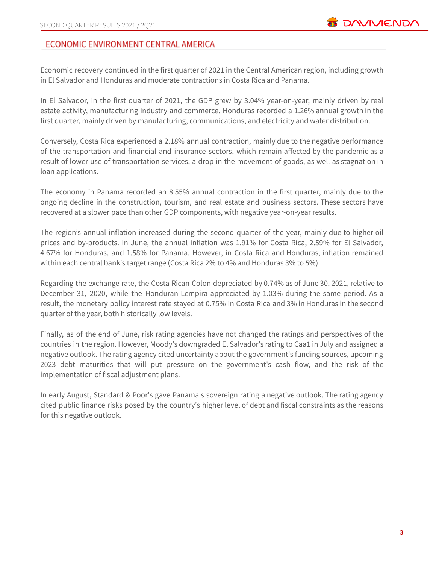# ECONOMIC ENVIRONMENT CENTRAL AMERICA

Economic recovery continued in the first quarter of 2021 in the Central American region, including growth in El Salvador and Honduras and moderate contractions in Costa Rica and Panama.

In El Salvador, in the first quarter of 2021, the GDP grew by 3.04% year-on-year, mainly driven by real estate activity, manufacturing industry and commerce. Honduras recorded a 1.26% annual growth in the first quarter, mainly driven by manufacturing, communications, and electricity and water distribution.

Conversely, Costa Rica experienced a 2.18% annual contraction, mainly due to the negative performance of the transportation and financial and insurance sectors, which remain affected by the pandemic as a result of lower use of transportation services, a drop in the movement of goods, as well as stagnation in loan applications.

The economy in Panama recorded an 8.55% annual contraction in the first quarter, mainly due to the ongoing decline in the construction, tourism, and real estate and business sectors. These sectors have recovered at a slower pace than other GDP components, with negative year-on-year results.

The region's annual inflation increased during the second quarter of the year, mainly due to higher oil prices and by-products. In June, the annual inflation was 1.91% for Costa Rica, 2.59% for El Salvador, 4.67% for Honduras, and 1.58% for Panama. However, in Costa Rica and Honduras, inflation remained within each central bank's target range (Costa Rica 2% to 4% and Honduras 3% to 5%).

Regarding the exchange rate, the Costa Rican Colon depreciated by 0.74% as of June 30, 2021, relative to December 31, 2020, while the Honduran Lempira appreciated by 1.03% during the same period. As a result, the monetary policy interest rate stayed at 0.75% in Costa Rica and 3% in Honduras in the second quarter of the year, both historically low levels.

Finally, as of the end of June, risk rating agencies have not changed the ratings and perspectives of the countries in the region. However, Moody's downgraded El Salvador's rating to Caa1 in July and assigned a negative outlook. The rating agency cited uncertainty about the government's funding sources, upcoming 2023 debt maturities that will put pressure on the government's cash flow, and the risk of the implementation of fiscal adjustment plans.

In early August, Standard & Poor's gave Panama's sovereign rating a negative outlook. The rating agency cited public finance risks posed by the country's higher level of debt and fiscal constraints as the reasons for this negative outlook.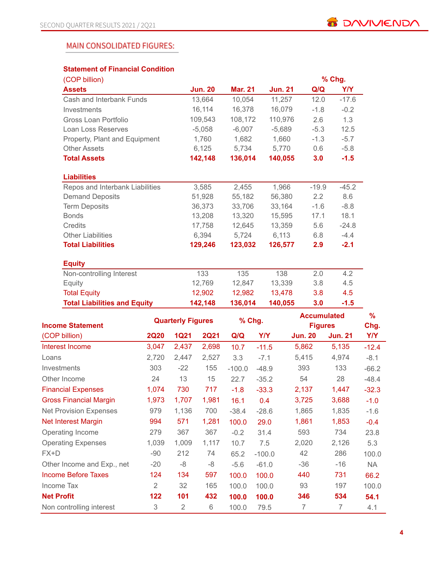# **MAIN CONSOLIDATED FIGURES:**

## **Statement of Financial Condition**

| (COP billion)                       |                |                |                |         | % Chg.  |
|-------------------------------------|----------------|----------------|----------------|---------|---------|
| <b>Assets</b>                       | <b>Jun. 20</b> | <b>Mar. 21</b> | <b>Jun. 21</b> | Q/Q     | Y/Y     |
| Cash and Interbank Funds            | 13,664         | 10,054         | 11,257         | 12.0    | $-17.6$ |
| Investments                         | 16,114         | 16,378         | 16,079         | $-1.8$  | $-0.2$  |
| Gross Loan Portfolio                | 109,543        | 108,172        | 110,976        | 2.6     | 1.3     |
| Loan Loss Reserves                  | $-5,058$       | $-6,007$       | $-5,689$       | $-5.3$  | 12.5    |
| Property, Plant and Equipment       | 1,760          | 1,682          | 1,660          | $-1.3$  | $-5.7$  |
| <b>Other Assets</b>                 | 6,125          | 5,734          | 5,770          | 0.6     | $-5.8$  |
| <b>Total Assets</b>                 | 142,148        | 136,014        | 140,055        | 3.0     | $-1.5$  |
| <b>Liabilities</b>                  |                |                |                |         |         |
| Repos and Interbank Liabilities     | 3,585          | 2,455          | 1,966          | $-19.9$ | $-45.2$ |
| <b>Demand Deposits</b>              | 51,928         | 55,182         | 56,380         | 2.2     | 8.6     |
| <b>Term Deposits</b>                | 36,373         | 33,706         | 33,164         | $-1.6$  | $-8.8$  |
| <b>Bonds</b>                        | 13,208         | 13,320         | 15,595         | 17.1    | 18.1    |
| Credits                             | 17,758         | 12,645         | 13,359         | 5.6     | $-24.8$ |
| <b>Other Liabilities</b>            | 6,394          | 5,724          | 6,113          | 6.8     | $-4.4$  |
| <b>Total Liabilities</b>            | 129,246        | 123,032        | 126,577        | 2.9     | $-2.1$  |
| <b>Equity</b>                       |                |                |                |         |         |
| Non-controlling Interest            | 133            | 135            | 138            | 2.0     | 4.2     |
| Equity                              | 12,769         | 12,847         | 13,339         | 3.8     | 4.5     |
| <b>Total Equity</b>                 | 12,902         | 12,982         | 13,478         | 3.8     | 4.5     |
| <b>Total Liabilities and Equity</b> | 142,148        | 136,014        | 140,055        | 3.0     | $-1.5$  |

|                               | <b>Quarterly Figures</b> |             |             | % Chg.   |            | <b>Accumulated</b> |                | $\frac{9}{6}$ |
|-------------------------------|--------------------------|-------------|-------------|----------|------------|--------------------|----------------|---------------|
| <b>Income Statement</b>       |                          |             |             |          |            |                    | <b>Figures</b> | Chg.          |
| (COP billion)                 | <b>2Q20</b>              | <b>1Q21</b> | <b>2Q21</b> | Q/Q      | <b>Y/Y</b> | <b>Jun. 20</b>     | <b>Jun. 21</b> | Y/Y           |
| Interest Income               | 3,047                    | 2,437       | 2,698       | 10.7     | $-11.5$    | 5,862              | 5,135          | $-12.4$       |
| Loans                         | 2,720                    | 2,447       | 2,527       | 3.3      | $-7.1$     | 5,415              | 4,974          | $-8.1$        |
| <b>Investments</b>            | 303                      | $-22$       | 155         | $-100.0$ | $-48.9$    | 393                | 133            | $-66.2$       |
| Other Income                  | 24                       | 13          | 15          | 22.7     | $-35.2$    | 54                 | 28             | $-48.4$       |
| <b>Financial Expenses</b>     | 1,074                    | 730         | 717         | $-1.8$   | $-33.3$    | 2,137              | 1,447          | $-32.3$       |
| <b>Gross Financial Margin</b> | 1,973                    | 1,707       | 1,981       | 16.1     | 0.4        | 3,725              | 3,688          | $-1.0$        |
| <b>Net Provision Expenses</b> | 979                      | 1,136       | 700         | $-38.4$  | $-28.6$    | 1,865              | 1,835          | $-1.6$        |
| <b>Net Interest Margin</b>    | 994                      | 571         | 1,281       | 100.0    | 29.0       | 1,861              | 1,853          | $-0.4$        |
| Operating Income              | 279                      | 367         | 367         | $-0.2$   | 31.4       | 593                | 734            | 23.8          |
| <b>Operating Expenses</b>     | 1,039                    | 1,009       | 1,117       | 10.7     | 7.5        | 2,020              | 2,126          | 5.3           |
| FX+D                          | -90                      | 212         | 74          | 65.2     | $-100.0$   | 42                 | 286            | 100.0         |
| Other Income and Exp., net    | $-20$                    | -8          | $-8$        | $-5.6$   | $-61.0$    | -36                | -16            | <b>NA</b>     |
| Income Before Taxes           | 124                      | 134         | 597         | 100.0    | 100.0      | 440                | 731            | 66.2          |
| Income Tax                    | 2                        | 32          | 165         | 100.0    | 100.0      | 93                 | 197            | 100.0         |
| <b>Net Profit</b>             | 122                      | 101         | 432         | 100.0    | 100.0      | 346                | 534            | 54.1          |
| Non controlling interest      | 3                        | 2           | 6           | 100.0    | 79.5       | 7                  | 7              | 4.1           |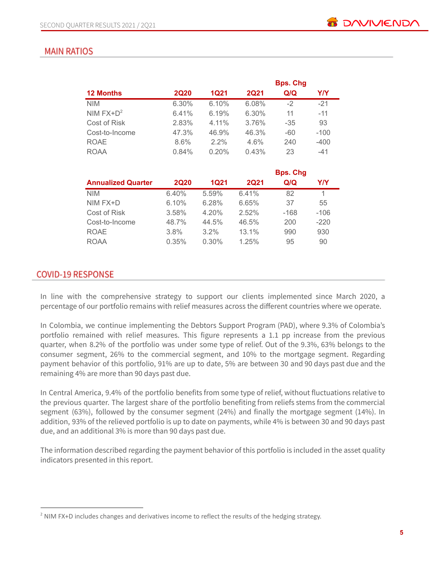# **MAIN RATIOS**

|                           |             |             |             | <b>Bps. Chg</b> |            |
|---------------------------|-------------|-------------|-------------|-----------------|------------|
| <b>12 Months</b>          | <b>2Q20</b> | <b>1Q21</b> | <b>2Q21</b> | Q/Q             | <b>Y/Y</b> |
| <b>NIM</b>                | 6.30%       | 6.10%       | 6.08%       | $-2$            | $-21$      |
| NIM $FX+D^2$              | 6.41%       | 6.19%       | 6.30%       | 11              | $-11$      |
| Cost of Risk              | 2.83%       | 4.11%       | 3.76%       | $-35$           | 93         |
| Cost-to-Income            | 47.3%       | 46.9%       | 46.3%       | $-60$           | $-100$     |
| <b>ROAE</b>               | 8.6%        | $2.2\%$     | 4.6%        | 240             | $-400$     |
| <b>ROAA</b>               | 0.84%       | 0.20%       | 0.43%       | 23              | -41        |
|                           |             |             |             | <b>Bps. Chg</b> |            |
| <b>Annualized Quarter</b> | <b>2Q20</b> | <b>1Q21</b> | <b>2Q21</b> | Q/Q             | Y/Y        |
| <b>NIM</b>                | 6.40%       | 5.59%       | 6.41%       | 82              | 1          |
| NIM FX+D                  | 6.10%       | 6.28%       | 6.65%       | 37              | 55         |
| Cost of Risk              | 3.58%       | 4.20%       | 2.52%       | $-168$          | $-106$     |

Cost-to-Income 48.7% 44.5% 46.5% 200 -220 ROAE 3.8% 3.2% 13.1% 990 930 ROAA 0.35% 0.30% 1.25% 95 90

#### **COVID-19 RESPONSE**

In line with the comprehensive strategy to support our clients implemented since March 2020, a percentage of our portfolio remains with relief measures across the different countries where we operate.

In Colombia, we continue implementing the Debtors Support Program (PAD), where 9.3% of Colombia's portfolio remained with relief measures. This figure represents a 1.1 pp increase from the previous quarter, when 8.2% of the portfolio was under some type of relief. Out of the 9.3%, 63% belongs to the consumer segment, 26% to the commercial segment, and 10% to the mortgage segment. Regarding payment behavior of this portfolio, 91% are up to date, 5% are between 30 and 90 days past due and the remaining 4% are more than 90 days past due.

In Central America, 9.4% of the portfolio benefits from some type of relief, without fluctuations relative to the previous quarter. The largest share of the portfolio benefiting from reliefs stems from the commercial segment (63%), followed by the consumer segment (24%) and finally the mortgage segment (14%). In addition, 93% of the relieved portfolio is up to date on payments, while 4% is between 30 and 90 days past due, and an additional 3% is more than 90 days past due.

The information described regarding the payment behavior of this portfolio is included in the asset quality indicators presented in this report.

<sup>&</sup>lt;sup>2</sup> NIM FX+D includes changes and derivatives income to reflect the results of the hedging strategy.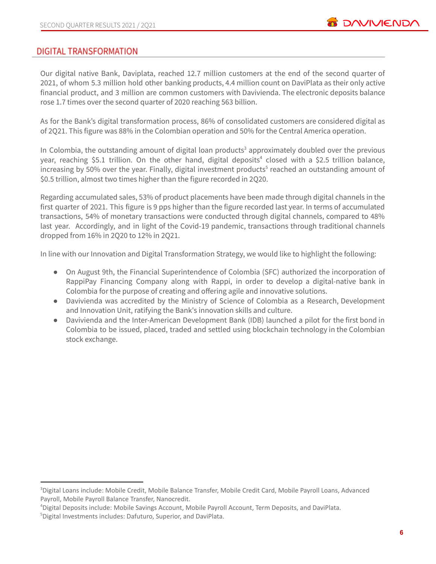# **DIGITAL TRANSFORMATION**

Our digital native Bank, Daviplata, reached 12.7 million customers at the end of the second quarter of 2021, of whom 5.3 million hold other banking products, 4.4 million count on DaviPlata as their only active financial product, and 3 million are common customers with Davivienda. The electronic deposits balance rose 1.7 times over the second quarter of 2020 reaching 563 billion.

As for the Bank's digital transformation process, 86% of consolidated customers are considered digital as of 2Q21. This figure was 88% in the Colombian operation and 50% for the Central America operation.

In Colombia, the outstanding amount of digital loan products<sup>3</sup> approximately doubled over the previous year, reaching \$5.1 trillion. On the other hand, digital deposits<sup>4</sup> closed with a \$2.5 trillion balance, increasing by 50% over the year. Finally, digital investment products<sup>5</sup> reached an outstanding amount of \$0.5 trillion, almost two times higher than the figure recorded in 2Q20.

Regarding accumulated sales, 53% of product placements have been made through digital channels in the first quarter of 2021. This figure is 9 pps higher than the figure recorded last year. In terms of accumulated transactions, 54% of monetary transactions were conducted through digital channels, compared to 48% last year. Accordingly, and in light of the Covid-19 pandemic, transactions through traditional channels dropped from 16% in 2Q20 to 12% in 2Q21.

In line with our Innovation and Digital Transformation Strategy, we would like to highlight the following:

- On August 9th, the Financial Superintendence of Colombia (SFC) authorized the incorporation of RappiPay Financing Company along with Rappi, in order to develop a digital-native bank in Colombia for the purpose of creating and offering agile and innovative solutions.
- Davivienda was accredited by the Ministry of Science of Colombia as a Research, Development and Innovation Unit, ratifying the Bank's innovation skills and culture.
- Davivienda and the Inter-American Development Bank (IDB) launched a pilot for the first bond in Colombia to be issued, placed, traded and settled using blockchain technology in the Colombian stock exchange.

<sup>3</sup>Digital Loans include: Mobile Credit, Mobile Balance Transfer, Mobile Credit Card, Mobile Payroll Loans, Advanced Payroll, Mobile Payroll Balance Transfer, Nanocredit.

<sup>4</sup>Digital Deposits include: Mobile Savings Account, Mobile Payroll Account, Term Deposits, and DaviPlata.

<sup>5</sup>Digital Investments includes: Dafuturo, Superior, and DaviPlata.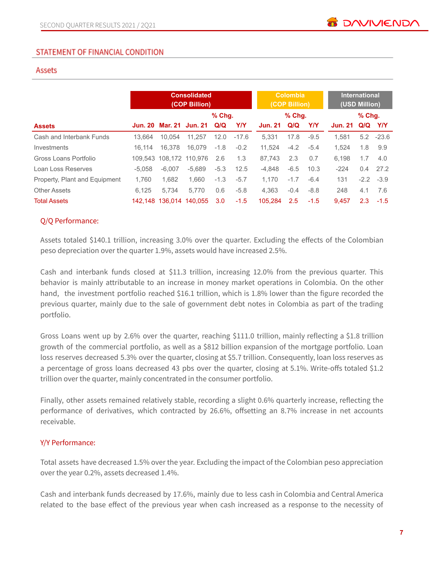### Assets

|                               |          | <b>Consolidated</b><br>(COP Billion) |                         |          |            |                | <b>Colombia</b><br>(COP Billion) |            |                | <b>International</b><br>(USD Million) |             |  |
|-------------------------------|----------|--------------------------------------|-------------------------|----------|------------|----------------|----------------------------------|------------|----------------|---------------------------------------|-------------|--|
|                               |          |                                      |                         | $%$ Chg. |            | $%$ Chg.       |                                  |            | $%$ Chq.       |                                       |             |  |
| <b>Assets</b>                 |          |                                      | Jun. 20 Mar. 21 Jun. 21 | Q/Q      | <b>Y/Y</b> | <b>Jun. 21</b> | Q/Q                              | <b>Y/Y</b> | <b>Jun. 21</b> |                                       | Q/Q Y/Y     |  |
| Cash and Interbank Funds      | 13.664   | 10.054                               | 11.257                  | 12.0     | $-17.6$    | 5.331          | 17.8                             | $-9.5$     | 1.581          |                                       | $5.2 -23.6$ |  |
| Investments                   | 16.114   | 16.378                               | 16.079                  | $-1.8$   | $-0.2$     | 11.524         | $-4.2$                           | $-5.4$     | 1.524          | 1.8                                   | 9.9         |  |
| Gross Loans Portfolio         |          | 109.543 108.172                      | 110.976                 | 2.6      | 1.3        | 87.743         | 2.3                              | 0.7        | 6.198          | 1.7                                   | 4.0         |  |
| Loan Loss Reserves            | $-5.058$ | $-6.007$                             | $-5.689$                | $-5.3$   | 12.5       | -4.848         | $-6.5$                           | 10.3       | $-224$         | 0.4                                   | 27.2        |  |
| Property, Plant and Equipment | 1.760    | 1.682                                | 1.660                   | $-1.3$   | $-5.7$     | 1.170          | $-1.7$                           | $-6.4$     | 131            |                                       | $-2.2 -3.9$ |  |
| <b>Other Assets</b>           | 6.125    | 5.734                                | 5.770                   | 0.6      | $-5.8$     | 4.363          | $-0.4$                           | $-8.8$     | 248            | 4.1                                   | 7.6         |  |
| <b>Total Assets</b>           |          |                                      | 142.148 136.014 140.055 | 3.0      | $-1.5$     | 105.284        | 2.5                              | $-1.5$     | 9.457          | 2.3                                   | $-1.5$      |  |

#### Q/Q Performance:

Assets totaled \$140.1 trillion, increasing 3.0% over the quarter. Excluding the effects of the Colombian peso depreciation over the quarter 1.9%, assets would have increased 2.5%.

Cash and interbank funds closed at \$11.3 trillion, increasing 12.0% from the previous quarter. This behavior is mainly attributable to an increase in money market operations in Colombia. On the other hand, the investment portfolio reached \$16.1 trillion, which is 1.8% lower than the figure recorded the previous quarter, mainly due to the sale of government debt notes in Colombia as part of the trading portfolio.

Gross Loans went up by 2.6% over the quarter, reaching \$111.0 trillion, mainly reflecting a \$1.8 trillion growth of the commercial portfolio, as well as a \$812 billion expansion of the mortgage portfolio. Loan loss reserves decreased 5.3% over the quarter, closing at \$5.7 trillion. Consequently, loan loss reserves as a percentage of gross loans decreased 43 pbs over the quarter, closing at 5.1%. Write-offs totaled \$1.2 trillion over the quarter, mainly concentrated in the consumer portfolio.

Finally, other assets remained relatively stable, recording a slight 0.6% quarterly increase, reflecting the performance of derivatives, which contracted by 26.6%, offsetting an 8.7% increase in net accounts receivable.

#### Y/Y Performance:

Total assets have decreased 1.5% over the year. Excluding the impact of the Colombian peso appreciation over the year 0.2%, assets decreased 1.4%.

Cash and interbank funds decreased by 17.6%, mainly due to less cash in Colombia and Central America related to the base effect of the previous year when cash increased as a response to the necessity of

**BE DAVIVIEND**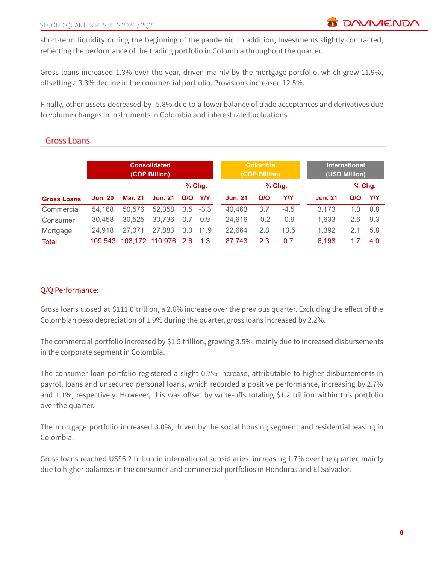short-term liquidity during the beginning of the pandemic. In addition, Investments slightly contracted, reflecting the performance of the trading portfolio in Colombia throughout the quarter.

Gross loans increased 1.3% over the year, driven mainly by the mortgage portfolio, which grew 11.9%, offsetting a 3.3% decline in the commercial portfolio. Provisions increased 12.5%.

Finally, other assets decreased by -5.8% due to a lower balance of trade acceptances and derivatives due to volume changes in instruments in Colombia and interest rate fluctuations.

# **Gross Loans**

|                    | <b>Consolidated</b><br>(COP Billion) |         |                     |     |             | <b>Colombia</b><br>(COP Billion) |        |          | <b>International</b><br>(USD Million) |     |          |
|--------------------|--------------------------------------|---------|---------------------|-----|-------------|----------------------------------|--------|----------|---------------------------------------|-----|----------|
|                    |                                      |         |                     |     | $%$ Chq.    |                                  |        | $%$ Chq. |                                       |     | $%$ Chg. |
| <b>Gross Loans</b> | <b>Jun. 20</b>                       | Mar. 21 | <b>Jun. 21</b>      | Q/Q | Y/Y         | <b>Jun. 21</b>                   | Q/Q    | Y/Y      | <b>Jun. 21</b>                        | Q/Q | Y/Y      |
| Commercial         | 54.168                               | 50,576  | 52,358              |     | $3.5 - 3.3$ | 40.463                           | 3.7    | $-4.5$   | 3.173                                 | 1.0 | 0.8      |
| Consumer           | 30.458                               | 30,525  | 30,736              | 0.7 | 0.9         | 24.616                           | $-0.2$ | $-0.9$   | 1.633                                 | 2.6 | 9.3      |
| Mortgage           | 24.918                               | 27.071  | 27,883              | 3.0 | 11.9        | 22.664                           | 2.8    | 13.5     | 1.392                                 | 2.1 | 5.8      |
| <b>Total</b>       | 109.543                              |         | 108,172 110,976 2.6 |     | 1.3         | 87,743                           | 2.3    | 0.7      | 6,198                                 | 1.7 | 4.0      |

# Q/Q Performance:

Gross loans closed at \$111.0 trillion, a 2.6% increase over the previous quarter. Excluding the effect of the Colombian peso depreciation of 1.9% during the quarter, gross loans increased by 2.2%.

The commercial portfolio increased by \$1.5 trillion, growing 3.5%, mainly due to increased disbursements in the corporate segment in Colombia.

The consumer loan portfolio registered a slight 0.7% increase, attributable to higher disbursements in payroll loans and unsecured personal loans, which recorded a positive performance, increasing by 2.7% and 1.1%, respectively. However, this was offset by write-offs totaling \$1.2 trillion within this portfolio over the quarter.

The mortgage portfolio increased 3.0%, driven by the social housing segment and residential leasing in Colombia.

Gross loans reached US\$6.2 billion in international subsidiaries, increasing 1.7% over the quarter, mainly due to higher balances in the consumer and commercial portfolios in Honduras and El Salvador.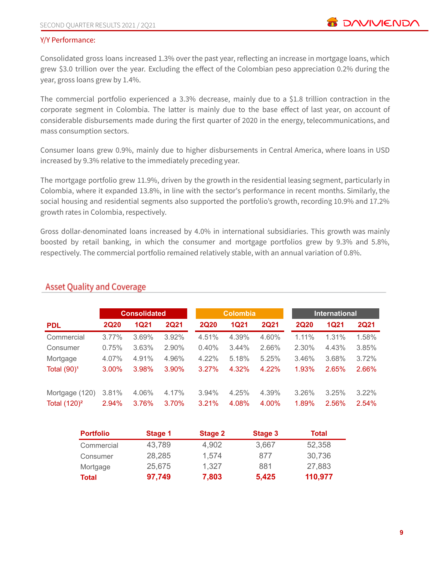#### Y/Y Performance:

Consolidated gross loans increased 1.3% over the past year, reflecting an increase in mortgage loans, which grew \$3.0 trillion over the year. Excluding the effect of the Colombian peso appreciation 0.2% during the year, gross loans grew by 1.4%.

The commercial portfolio experienced a 3.3% decrease, mainly due to a \$1.8 trillion contraction in the corporate segment in Colombia. The latter is mainly due to the base effect of last year, on account of considerable disbursements made during the first quarter of 2020 in the energy, telecommunications, and mass consumption sectors.

Consumer loans grew 0.9%, mainly due to higher disbursements in Central America, where loans in USD increased by 9.3% relative to the immediately preceding year.

The mortgage portfolio grew 11.9%, driven by the growth in the residential leasing segment, particularly in Colombia, where it expanded 13.8%, in line with the sector's performance in recent months. Similarly, the social housing and residential segments also supported the portfolio's growth, recording 10.9% and 17.2% growth rates in Colombia, respectively.

Gross dollar-denominated loans increased by 4.0% in international subsidiaries. This growth was mainly boosted by retail banking, in which the consumer and mortgage portfolios grew by 9.3% and 5.8%, respectively. The commercial portfolio remained relatively stable, with an annual variation of 0.8%.

|                 |             | <b>Consolidated</b> |             | <b>Colombia</b> |             |             | <b>International</b> |             |             |  |
|-----------------|-------------|---------------------|-------------|-----------------|-------------|-------------|----------------------|-------------|-------------|--|
| <b>PDL</b>      | <b>2Q20</b> | <b>1Q21</b>         | <b>2Q21</b> | <b>2Q20</b>     | <b>1Q21</b> | <b>2Q21</b> | <b>2Q20</b>          | <b>1Q21</b> | <b>2Q21</b> |  |
| Commercial      | $3.77\%$    | 3.69%               | 3.92%       | 4.51%           | 4.39%       | 4.60%       | $1.11\%$             | 1.31%       | 1.58%       |  |
| Consumer        | 0.75%       | 3.63%               | 2.90%       | 0.40%           | 3.44%       | 2.66%       | 2.30%                | 4.43%       | 3.85%       |  |
| Mortgage        | 4.07%       | 4.91%               | 4.96%       | 4.22%           | 5.18%       | 5.25%       | 3.46%                | 3.68%       | 3.72%       |  |
| Total $(90)^1$  | 3.00%       | 3.98%               | $3.90\%$    | 3.27%           | 4.32%       | 4.22%       | 1.93%                | 2.65%       | 2.66%       |  |
|                 |             |                     |             |                 |             |             |                      |             |             |  |
| Mortgage (120)  | 3.81%       | 4.06%               | 4.17%       | 3.94%           | 4.25%       | 4.39%       | 3.26%                | 3.25%       | $3.22\%$    |  |
| Total $(120)^2$ | 2.94%       | 3.76%               | 3.70%       | 3.21%           | 4.08%       | 4.00%       | 1.89%                | 2.56%       | 2.54%       |  |

# **Asset Quality and Coverage**

| <b>Portfolio</b> | Stage 1 | Stage 2 | Stage 3 | Total   |
|------------------|---------|---------|---------|---------|
| Commercial       | 43,789  | 4,902   | 3,667   | 52,358  |
| Consumer         | 28,285  | 1,574   | 877     | 30,736  |
| Mortgage         | 25,675  | 1,327   | 881     | 27,883  |
| <b>Total</b>     | 97,749  | 7,803   | 5,425   | 110,977 |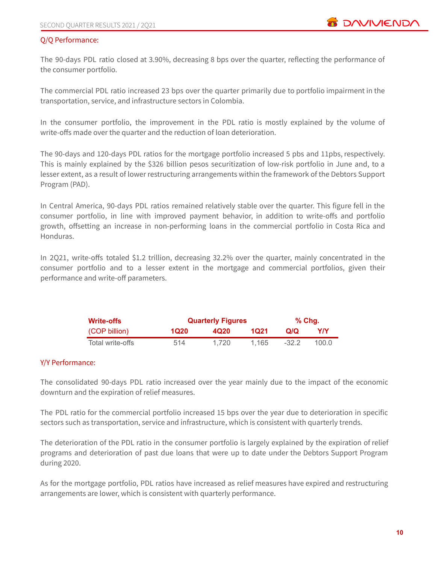#### Q/Q Performance:

The 90-days PDL ratio closed at 3.90%, decreasing 8 bps over the quarter, reflecting the performance of the consumer portfolio.

The commercial PDL ratio increased 23 bps over the quarter primarily due to portfolio impairment in the transportation, service, and infrastructure sectors in Colombia.

In the consumer portfolio, the improvement in the PDL ratio is mostly explained by the volume of write-offs made over the quarter and the reduction of loan deterioration.

The 90-days and 120-days PDL ratios for the mortgage portfolio increased 5 pbs and 11pbs, respectively. This is mainly explained by the \$326 billion pesos securitization of low-risk portfolio in June and, to a lesser extent, as a result of lower restructuring arrangements within the framework of the Debtors Support Program (PAD).

In Central America, 90-days PDL ratios remained relatively stable over the quarter. This figure fell in the consumer portfolio, in line with improved payment behavior, in addition to write-offs and portfolio growth, offsetting an increase in non-performing loans in the commercial portfolio in Costa Rica and Honduras.

In 2Q21, write-offs totaled \$1.2 trillion, decreasing 32.2% over the quarter, mainly concentrated in the consumer portfolio and to a lesser extent in the mortgage and commercial portfolios, given their performance and write-off parameters.

| <b>Write-offs</b> |      | <b>Quarterly Figures</b> | % Chq. |         |       |
|-------------------|------|--------------------------|--------|---------|-------|
| (COP billion)     | 1Q20 | 4Q <sub>20</sub>         | 1021   | Q/Q     | YN    |
| Total write-offs  | 514  | 1.720                    | 1.165  | $-32.2$ | 100.0 |

#### Y/Y Performance:

The consolidated 90-days PDL ratio increased over the year mainly due to the impact of the economic downturn and the expiration of relief measures.

The PDL ratio for the commercial portfolio increased 15 bps over the year due to deterioration in specific sectors such as transportation, service and infrastructure, which is consistent with quarterly trends.

The deterioration of the PDL ratio in the consumer portfolio is largely explained by the expiration of relief programs and deterioration of past due loans that were up to date under the Debtors Support Program during 2020.

As for the mortgage portfolio, PDL ratios have increased as relief measures have expired and restructuring arrangements are lower, which is consistent with quarterly performance.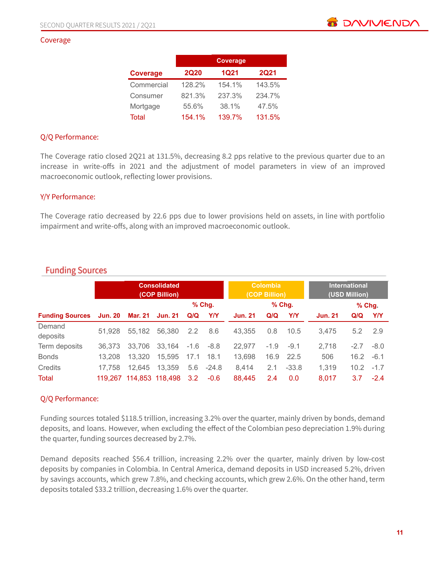#### Coverage

|                 |             | <b>Coverage</b> |             |
|-----------------|-------------|-----------------|-------------|
| <b>Coverage</b> | <b>2Q20</b> | <b>1Q21</b>     | <b>2Q21</b> |
| Commercial      | 128.2%      | 154.1%          | 143.5%      |
| Consumer        | 821.3%      | 237.3%          | 234.7%      |
| Mortgage        | 55.6%       | 38.1%           | 47.5%       |
| Total           | 154.1%      | 139.7%          | 131.5%      |

#### Q/Q Performance:

The Coverage ratio closed 2Q21 at 131.5%, decreasing 8.2 pps relative to the previous quarter due to an increase in write-offs in 2021 and the adjustment of model parameters in view of an improved macroeconomic outlook, reflecting lower provisions.

#### Y/Y Performance:

The Coverage ratio decreased by 22.6 pps due to lower provisions held on assets, in line with portfolio impairment and write-offs, along with an improved macroeconomic outlook.

|                        |         | <b>Consolidated</b><br>(COP Billion) |                 |        |             | <b>Colombia</b><br>(COP Billion) |        |            | <b>International</b><br>(USD Million) |         |        |
|------------------------|---------|--------------------------------------|-----------------|--------|-------------|----------------------------------|--------|------------|---------------------------------------|---------|--------|
|                        |         |                                      |                 |        | $%$ Chg.    |                                  |        | % Chg.     |                                       | $%$ Chg |        |
| <b>Funding Sources</b> | Jun. 20 | Mar. 21                              | <b>Jun. 21</b>  | Q/Q    | <b>Y/Y</b>  | <b>Jun. 21</b>                   | Q/Q    | <b>Y/Y</b> | <b>Jun. 21</b>                        | Q/Q     | Y/Y    |
| Demand                 | 51.928  | 55,182                               | 56,380          | 2.2    | 8.6         | 43.355                           | 0.8    | 10.5       | 3.475                                 | 5.2     | 2.9    |
| deposits               |         |                                      |                 |        |             |                                  |        |            |                                       |         |        |
| Term deposits          | 36,373  | 33,706                               | 33.164          | $-1.6$ | $-8.8$      | 22,977                           | $-1.9$ | $-9.1$     | 2,718                                 | $-2.7$  | $-8.0$ |
| <b>Bonds</b>           | 13.208  | 13,320                               | 15,595          | 17.1   | 18.1        | 13,698                           | 16.9   | 22.5       | 506                                   | 16.2    | $-6.1$ |
| Credits                | 17,758  | 12.645                               | 13,359          |        | $5.6 -24.8$ | 8,414                            | 2.1    | $-33.8$    | 1,319                                 | 10.2    | $-1.7$ |
| <b>Total</b>           | 119.267 |                                      | 114,853 118,498 | 3.2    | $-0.6$      | 88,445                           | 2.4    | 0.0        | 8.017                                 | 3.7     | $-2.4$ |

# **Funding Sources**

#### Q/Q Performance:

Funding sources totaled \$118.5 trillion, increasing 3.2% over the quarter, mainly driven by bonds, demand deposits, and loans. However, when excluding the effect of the Colombian peso depreciation 1.9% during the quarter, funding sources decreased by 2.7%.

Demand deposits reached \$56.4 trillion, increasing 2.2% over the quarter, mainly driven by low-cost deposits by companies in Colombia. In Central America, demand deposits in USD increased 5.2%, driven by savings accounts, which grew 7.8%, and checking accounts, which grew 2.6%. On the other hand, term deposits totaled \$33.2 trillion, decreasing 1.6% over the quarter.

**ES DAVIVIEND**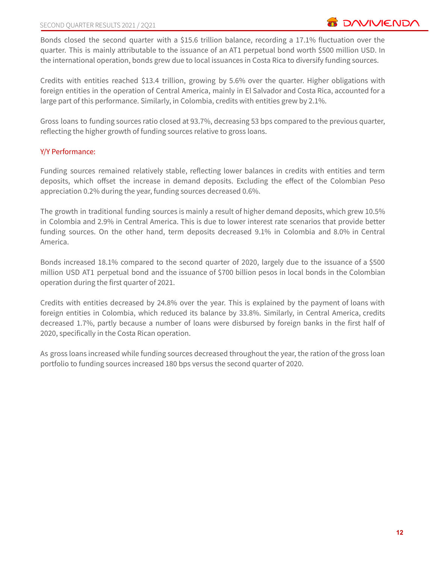Bonds closed the second quarter with a \$15.6 trillion balance, recording a 17.1% fluctuation over the quarter. This is mainly attributable to the issuance of an AT1 perpetual bond worth \$500 million USD. In the international operation, bonds grew due to local issuances in Costa Rica to diversify funding sources.

Credits with entities reached \$13.4 trillion, growing by 5.6% over the quarter. Higher obligations with foreign entities in the operation of Central America, mainly in El Salvador and Costa Rica, accounted for a large part of this performance. Similarly, in Colombia, credits with entities grew by 2.1%.

Gross loans to funding sources ratio closed at 93.7%, decreasing 53 bps compared to the previous quarter, reflecting the higher growth of funding sources relative to gross loans.

#### Y/Y Performance:

Funding sources remained relatively stable, reflecting lower balances in credits with entities and term deposits, which offset the increase in demand deposits. Excluding the effect of the Colombian Peso appreciation 0.2% during the year, funding sources decreased 0.6%.

The growth in traditional funding sources is mainly a result of higher demand deposits, which grew 10.5% in Colombia and 2.9% in Central America. This is due to lower interest rate scenarios that provide better funding sources. On the other hand, term deposits decreased 9.1% in Colombia and 8.0% in Central America.

Bonds increased 18.1% compared to the second quarter of 2020, largely due to the issuance of a \$500 million USD AT1 perpetual bond and the issuance of \$700 billion pesos in local bonds in the Colombian operation during the first quarter of 2021.

Credits with entities decreased by 24.8% over the year. This is explained by the payment of loans with foreign entities in Colombia, which reduced its balance by 33.8%. Similarly, in Central America, credits decreased 1.7%, partly because a number of loans were disbursed by foreign banks in the first half of 2020, specifically in the Costa Rican operation.

As gross loans increased while funding sources decreased throughout the year, the ration of the gross loan portfolio to funding sources increased 180 bps versus the second quarter of 2020.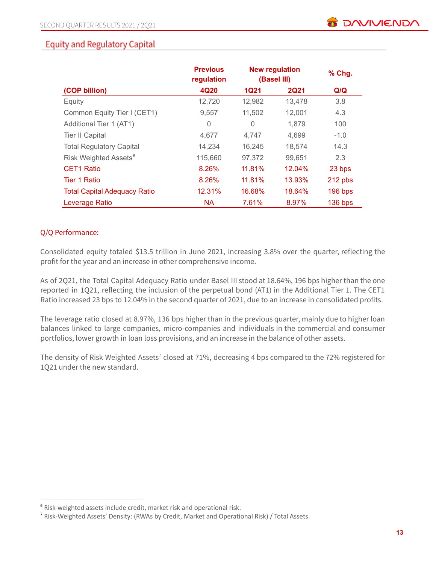# **Equity and Regulatory Capital**

|                                     | <b>Previous</b><br>regulation | <b>New regulation</b><br>(Basel III) |             | % Chg.    |
|-------------------------------------|-------------------------------|--------------------------------------|-------------|-----------|
| (COP billion)                       | 4Q20                          | <b>1Q21</b>                          | <b>2Q21</b> | Q/Q       |
| Equity                              | 12,720                        | 12,982                               | 13,478      | 3.8       |
| Common Equity Tier I (CET1)         | 9,557                         | 11,502                               | 12,001      | 4.3       |
| Additional Tier 1 (AT1)             | 0                             | 0                                    | 1,879       | 100       |
| <b>Tier II Capital</b>              | 4,677                         | 4,747                                | 4,699       | $-1.0$    |
| <b>Total Regulatory Capital</b>     | 14,234                        | 16,245                               | 18,574      | 14.3      |
| Risk Weighted Assets <sup>6</sup>   | 115,660                       | 97,372                               | 99,651      | 2.3       |
| <b>CET1 Ratio</b>                   | 8.26%                         | 11.81%                               | 12.04%      | 23 bps    |
| <b>Tier 1 Ratio</b>                 | 8.26%                         | 11.81%                               | 13.93%      | 212 pbs   |
| <b>Total Capital Adequacy Ratio</b> | 12.31%                        | 16.68%                               | 18.64%      | $196$ bps |
| Leverage Ratio                      | <b>NA</b>                     | 7.61%                                | 8.97%       | 136 bps   |

#### Q/Q Performance:

Consolidated equity totaled \$13.5 trillion in June 2021, increasing 3.8% over the quarter, reflecting the profit for the year and an increase in other comprehensive income.

As of 2Q21, the Total Capital Adequacy Ratio under Basel III stood at 18.64%, 196 bps higher than the one reported in 1Q21, reflecting the inclusion of the perpetual bond (AT1) in the Additional Tier 1. The CET1 Ratio increased 23 bps to 12.04% in the second quarter of 2021, due to an increase in consolidated profits.

The leverage ratio closed at 8.97%, 136 bps higher than in the previous quarter, mainly due to higher loan balances linked to large companies, micro-companies and individuals in the commercial and consumer portfolios, lower growth in loan loss provisions, and an increase in the balance of other assets.

The density of Risk Weighted Assets<sup>7</sup> closed at 71%, decreasing 4 bps compared to the 72% registered for 1Q21 under the new standard.

<sup>6</sup> Risk-weighted assets include credit, market risk and operational risk.

<sup>7</sup> Risk-Weighted Assets' Density: (RWAs by Credit, Market and Operational Risk) / Total Assets.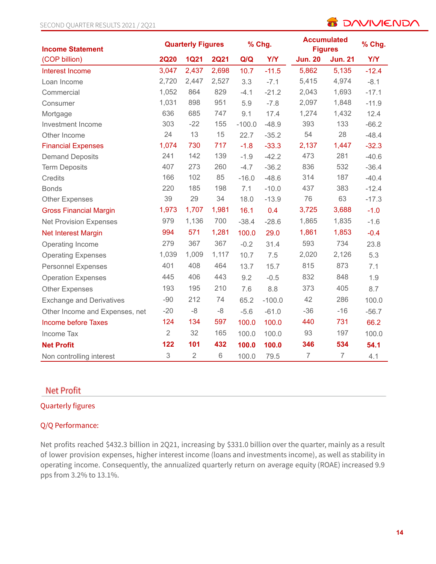# **B** DAVIVIENDA

| <b>Income Statement</b>         | <b>Quarterly Figures</b> |                |             |          | % Chg.     | <b>Accumulated</b><br><b>Figures</b> | % Chg.         |            |
|---------------------------------|--------------------------|----------------|-------------|----------|------------|--------------------------------------|----------------|------------|
| (COP billion)                   | <b>2Q20</b>              | <b>1Q21</b>    | <b>2Q21</b> | Q/Q      | <b>Y/Y</b> | <b>Jun. 20</b>                       | <b>Jun. 21</b> | <b>Y/Y</b> |
| Interest Income                 | 3,047                    | 2,437          | 2,698       | 10.7     | $-11.5$    | 5,862                                | 5,135          | $-12.4$    |
| Loan Income                     | 2,720                    | 2,447          | 2,527       | 3.3      | $-7.1$     | 5,415                                | 4,974          | $-8.1$     |
| Commercial                      | 1,052                    | 864            | 829         | $-4.1$   | $-21.2$    | 2,043                                | 1,693          | $-17.1$    |
| Consumer                        | 1,031                    | 898            | 951         | 5.9      | $-7.8$     | 2,097                                | 1,848          | $-11.9$    |
| Mortgage                        | 636                      | 685            | 747         | 9.1      | 17.4       | 1,274                                | 1,432          | 12.4       |
| Investment Income               | 303                      | $-22$          | 155         | $-100.0$ | $-48.9$    | 393                                  | 133            | $-66.2$    |
| Other Income                    | 24                       | 13             | 15          | 22.7     | $-35.2$    | 54                                   | 28             | $-48.4$    |
| <b>Financial Expenses</b>       | 1,074                    | 730            | 717         | $-1.8$   | $-33.3$    | 2,137                                | 1,447          | $-32.3$    |
| <b>Demand Deposits</b>          | 241                      | 142            | 139         | $-1.9$   | $-42.2$    | 473                                  | 281            | $-40.6$    |
| <b>Term Deposits</b>            | 407                      | 273            | 260         | $-4.7$   | $-36.2$    | 836                                  | 532            | $-36.4$    |
| <b>Credits</b>                  | 166                      | 102            | 85          | $-16.0$  | $-48.6$    | 314                                  | 187            | $-40.4$    |
| <b>Bonds</b>                    | 220                      | 185            | 198         | 7.1      | $-10.0$    | 437                                  | 383            | $-12.4$    |
| <b>Other Expenses</b>           | 39                       | 29             | 34          | 18.0     | $-13.9$    | 76                                   | 63             | $-17.3$    |
| <b>Gross Financial Margin</b>   | 1,973                    | 1,707          | 1,981       | 16.1     | 0.4        | 3,725                                | 3,688          | $-1.0$     |
| <b>Net Provision Expenses</b>   | 979                      | 1,136          | 700         | $-38.4$  | $-28.6$    | 1,865                                | 1,835          | $-1.6$     |
| Net Interest Margin             | 994                      | 571            | 1,281       | 100.0    | 29.0       | 1,861                                | 1,853          | $-0.4$     |
| Operating Income                | 279                      | 367            | 367         | $-0.2$   | 31.4       | 593                                  | 734            | 23.8       |
| <b>Operating Expenses</b>       | 1,039                    | 1,009          | 1,117       | 10.7     | 7.5        | 2,020                                | 2,126          | 5.3        |
| <b>Personnel Expenses</b>       | 401                      | 408            | 464         | 13.7     | 15.7       | 815                                  | 873            | 7.1        |
| <b>Operation Expenses</b>       | 445                      | 406            | 443         | 9.2      | $-0.5$     | 832                                  | 848            | 1.9        |
| <b>Other Expenses</b>           | 193                      | 195            | 210         | 7.6      | 8.8        | 373                                  | 405            | 8.7        |
| <b>Exchange and Derivatives</b> | $-90$                    | 212            | 74          | 65.2     | $-100.0$   | 42                                   | 286            | 100.0      |
| Other Income and Expenses, net  | $-20$                    | $-8$           | $-8$        | $-5.6$   | $-61.0$    | $-36$                                | $-16$          | $-56.7$    |
| <b>Income before Taxes</b>      | 124                      | 134            | 597         | 100.0    | 100.0      | 440                                  | 731            | 66.2       |
| Income Tax                      | $\sqrt{2}$               | 32             | 165         | 100.0    | 100.0      | 93                                   | 197            | 100.0      |
| <b>Net Profit</b>               | 122                      | 101            | 432         | 100.0    | 100.0      | 346                                  | 534            | 54.1       |
| Non controlling interest        | 3                        | $\overline{2}$ | 6           | 100.0    | 79.5       | $\overline{7}$                       | $\overline{7}$ | 4.1        |

# **Net Profit**

### Quarterly figures

#### Q/Q Performance:

Net profits reached \$432.3 billion in 2Q21, increasing by \$331.0 billion over the quarter, mainly as a result of lower provision expenses, higher interest income (loans and investments income), as well as stability in operating income. Consequently, the annualized quarterly return on average equity (ROAE) increased 9.9 pps from 3.2% to 13.1%.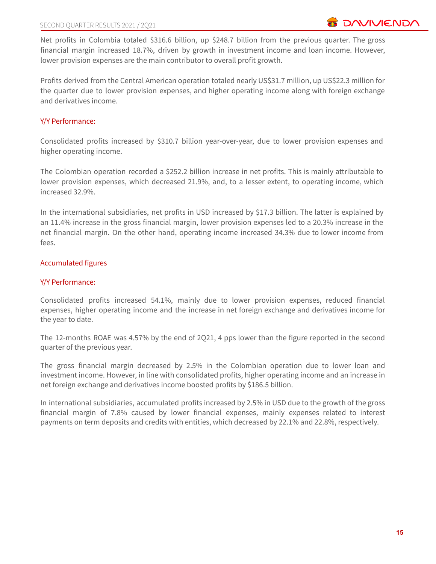Net profits in Colombia totaled \$316.6 billion, up \$248.7 billion from the previous quarter. The gross financial margin increased 18.7%, driven by growth in investment income and loan income. However, lower provision expenses are the main contributor to overall profit growth.

Profits derived from the Central American operation totaled nearly US\$31.7 million, up US\$22.3 million for the quarter due to lower provision expenses, and higher operating income along with foreign exchange and derivatives income.

#### Y/Y Performance:

Consolidated profits increased by \$310.7 billion year-over-year, due to lower provision expenses and higher operating income.

The Colombian operation recorded a \$252.2 billion increase in net profits. This is mainly attributable to lower provision expenses, which decreased 21.9%, and, to a lesser extent, to operating income, which increased 32.9%.

In the international subsidiaries, net profits in USD increased by \$17.3 billion. The latter is explained by an 11.4% increase in the gross financial margin, lower provision expenses led to a 20.3% increase in the net financial margin. On the other hand, operating income increased 34.3% due to lower income from fees.

#### Accumulated figures

#### Y/Y Performance:

Consolidated profits increased 54.1%, mainly due to lower provision expenses, reduced financial expenses, higher operating income and the increase in net foreign exchange and derivatives income for the year to date.

The 12-months ROAE was 4.57% by the end of 2Q21, 4 pps lower than the figure reported in the second quarter of the previous year.

The gross financial margin decreased by 2.5% in the Colombian operation due to lower loan and investment income. However, in line with consolidated profits, higher operating income and an increase in net foreign exchange and derivatives income boosted profits by \$186.5 billion.

In international subsidiaries, accumulated profits increased by 2.5% in USD due to the growth of the gross financial margin of 7.8% caused by lower financial expenses, mainly expenses related to interest payments on term deposits and credits with entities, which decreased by 22.1% and 22.8%, respectively.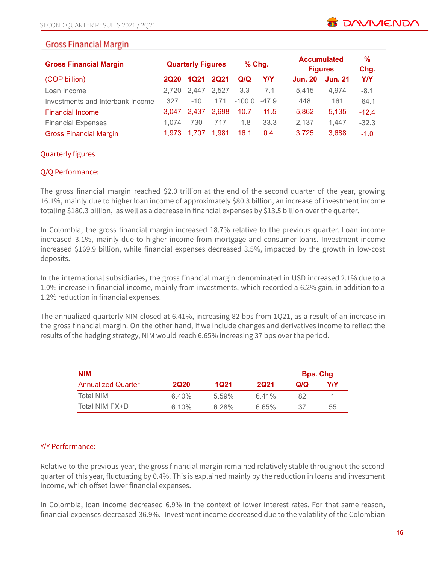| <b>Gross Financial Margin</b>    | $%$ Chg.<br><b>Quarterly Figures</b> |             |             | <b>Accumulated</b><br><b>Figures</b> |         |                |                |            |
|----------------------------------|--------------------------------------|-------------|-------------|--------------------------------------|---------|----------------|----------------|------------|
| (COP billion)                    | <b>2Q20</b>                          | 1Q21        | <b>2Q21</b> | Q/Q                                  | Y/Y     | <b>Jun. 20</b> | <b>Jun. 21</b> | <b>Y/Y</b> |
| Loan Income                      |                                      | 2.720 2.447 | 2.527       | 3.3                                  | $-7.1$  | 5.415          | 4.974          | $-8.1$     |
| Investments and Interbank Income | 327                                  | $-10$       | 171         | $-100.0$                             | $-47.9$ | 448            | 161            | $-64.1$    |
| <b>Financial Income</b>          | 3.047                                | 2.437       | 2.698       | 10.7                                 | $-11.5$ | 5.862          | 5.135          | $-12.4$    |
| <b>Financial Expenses</b>        | 1.074                                | 730         | 717         | $-1.8$                               | $-33.3$ | 2,137          | 1.447          | $-32.3$    |
| <b>Gross Financial Margin</b>    | 1.973                                | 1.707       | 1.981       | 16.1                                 | 0.4     | 3,725          | 3,688          | $-1.0$     |

#### Quarterly figures

#### Q/Q Performance:

The gross financial margin reached \$2.0 trillion at the end of the second quarter of the year, growing 16.1%, mainly due to higher loan income of approximately \$80.3 billion, an increase of investment income totaling \$180.3 billion, as well as a decrease in financial expenses by \$13.5 billion over the quarter.

In Colombia, the gross financial margin increased 18.7% relative to the previous quarter. Loan income increased 3.1%, mainly due to higher income from mortgage and consumer loans. Investment income increased \$169.9 billion, while financial expenses decreased 3.5%, impacted by the growth in low-cost deposits.

In the international subsidiaries, the gross financial margin denominated in USD increased 2.1% due to a 1.0% increase in financial income, mainly from investments, which recorded a 6.2% gain, in addition to a 1.2% reduction in financial expenses.

The annualized quarterly NIM closed at 6.41%, increasing 82 bps from 1Q21, as a result of an increase in the gross financial margin. On the other hand, if we include changes and derivatives income to reflect the results of the hedging strategy, NIM would reach 6.65% increasing 37 bps over the period.

| <b>NIM</b>                |             |          |             | <b>Bps. Chg</b> |     |
|---------------------------|-------------|----------|-------------|-----------------|-----|
| <b>Annualized Quarter</b> | <b>2Q20</b> | 1021     | <b>2Q21</b> | Q/Q             | Y/Y |
| Total NIM                 | 6.40%       | 5.59%    | 6.41%       | 82              |     |
| Total NIM FX+D            | 6.10%       | $6.28\%$ | 6.65%       | 37              | 55  |

#### Y/Y Performance:

Relative to the previous year, the gross financial margin remained relatively stable throughout the second quarter of this year, fluctuating by 0.4%. This is explained mainly by the reduction in loans and investment income, which offset lower financial expenses.

In Colombia, loan income decreased 6.9% in the context of lower interest rates. For that same reason, financial expenses decreased 36.9%. Investment income decreased due to the volatility of the Colombian

**TO DAVIVIEND**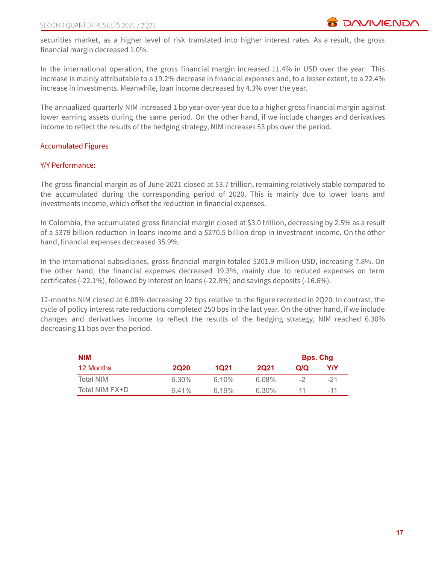securities market, as a higher level of risk translated into higher interest rates. As a result, the gross financial margin decreased 1.0%.

In the international operation, the gross financial margin increased 11.4% in USD over the year. This increase is mainly attributable to a 19.2% decrease in financial expenses and, to a lesser extent, to a 22.4% increase in investments. Meanwhile, loan income decreased by 4.3% over the year.

The annualized quarterly NIM increased 1 bp year-over-year due to a higher gross financial margin against lower earning assets during the same period. On the other hand, if we include changes and derivatives income to reflect the results of the hedging strategy, NIM increases 53 pbs over the period.

#### Accumulated Figures

#### Y/Y Performance:

The gross financial margin as of June 2021 closed at \$3.7 trillion, remaining relatively stable compared to the accumulated during the corresponding period of 2020. This is mainly due to lower loans and investments income, which offset the reduction in financial expenses.

In Colombia, the accumulated gross financial margin closed at \$3.0 trillion, decreasing by 2.5% as a result of a \$379 billion reduction in loans income and a \$270.5 billion drop in investment income. On the other hand, financial expenses decreased 35.9%.

In the international subsidiaries, gross financial margin totaled \$201.9 million USD, increasing 7.8%. On the other hand, the financial expenses decreased 19.3%, mainly due to reduced expenses on term certificates (-22.1%), followed by interest on loans (-22.8%) and savings deposits (-16.6%).

12-months NIM closed at 6.08% decreasing 22 bps relative to the figure recorded in 2Q20. In contrast, the cycle of policy interest rate reductions completed 250 bps in the last year. On the other hand, if we include changes and derivatives income to reflect the results of the hedging strategy, NIM reached 6.30% decreasing 11 bps over the period.

| <b>NIM</b>       | <b>Bps. Chg</b> |          |             |     |       |
|------------------|-----------------|----------|-------------|-----|-------|
| 12 Months        | <b>2Q20</b>     | 1021     | <b>2Q21</b> | Q/Q | Y/Y   |
| <b>Total NIM</b> | $6.30\%$        | $6.10\%$ | 6.08%       | -2  | $-21$ |
| Total NIM FX+D   | 6.41%           | 6.19%    | 6.30%       | 11  | $-11$ |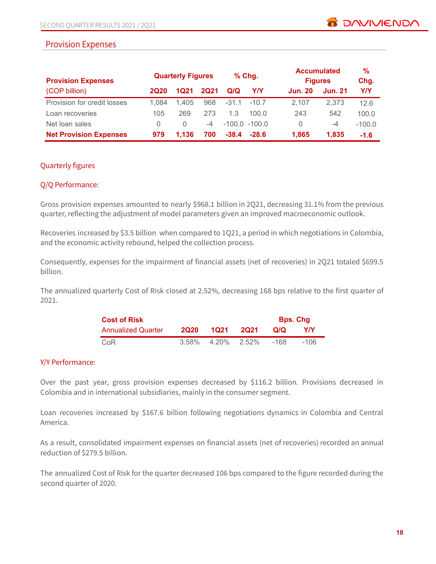# **Provision Expenses**

| <b>Provision Expenses</b>     |             | <b>Quarterly Figures</b> |             | $%$ Chg. |                  | <b>Accumulated</b><br><b>Figures</b> |                | $\frac{9}{6}$<br>Chg. |
|-------------------------------|-------------|--------------------------|-------------|----------|------------------|--------------------------------------|----------------|-----------------------|
| (COP billion)                 | <b>2Q20</b> | 1Q21                     | <b>2Q21</b> | Q/Q      | Y/Y              | <b>Jun. 20</b>                       | <b>Jun. 21</b> | Y/Y                   |
| Provision for credit losses   | 1.084       | 1.405                    | 968         | $-31.1$  | $-10.7$          | 2.107                                | 2.373          | 12.6                  |
| Loan recoveries               | 105         | 269                      | 273         | 13       | 100.0            | 243                                  | 542            | 100.0                 |
| Net loan sales                | 0           | $\left( \right)$         | -4          |          | $-100.0 - 100.0$ | $\Omega$                             | -4             | $-100.0$              |
| <b>Net Provision Expenses</b> | 979         | 1.136                    | 700         | $-38.4$  | $-28.6$          | 1,865                                | 1.835          | $-1.6$                |

#### Quarterly figures

#### Q/Q Performance:

Gross provision expenses amounted to nearly \$968.1 billion in 2Q21, decreasing 31.1% from the previous quarter, reflecting the adjustment of model parameters given an improved macroeconomic outlook.

Recoveries increased by \$3.5 billion when compared to 1Q21, a period in which negotiations in Colombia, and the economic activity rebound, helped the collection process.

Consequently, expenses for the impairment of financial assets (net of recoveries) in 2Q21 totaled \$699.5 billion.

The annualized quarterly Cost of Risk closed at 2.52%, decreasing 168 bps relative to the first quarter of 2021.

| <b>Cost of Risk</b>       | <b>Bps. Chg</b> |                      |      |      |            |
|---------------------------|-----------------|----------------------|------|------|------------|
| <b>Annualized Quarter</b> | 2020            | 1021                 | 2021 | Q/Q  | <b>YIY</b> |
| CoR                       |                 | $3.58\%$ 4.20% 2.52% |      | -168 | -106       |

#### Y/Y Performance:

Over the past year, gross provision expenses decreased by \$116.2 billion. Provisions decreased in Colombia and in international subsidiaries, mainly in the consumer segment.

Loan recoveries increased by \$167.6 billion following negotiations dynamics in Colombia and Central America.

As a result, consolidated impairment expenses on financial assets (net of recoveries) recorded an annual reduction of \$279.5 billion.

The annualized Cost of Risk for the quarter decreased 106 bps compared to the figure recorded during the second quarter of 2020.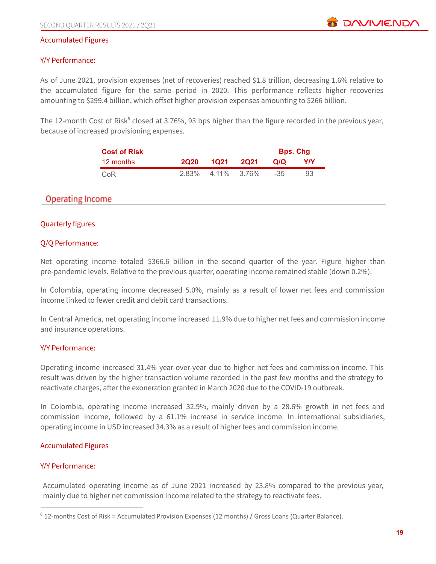#### Accumulated Figures

#### Y/Y Performance:

As of June 2021, provision expenses (net of recoveries) reached \$1.8 trillion, decreasing 1.6% relative to the accumulated figure for the same period in 2020. This performance reflects higher recoveries amounting to \$299.4 billion, which offset higher provision expenses amounting to \$266 billion.

The 12-month Cost of Risk<sup>8</sup> closed at 3.76%, 93 bps higher than the figure recorded in the previous year, because of increased provisioning expenses.

| <b>Cost of Risk</b> |             |             |      | <b>Bps. Chg</b> |     |
|---------------------|-------------|-------------|------|-----------------|-----|
| 12 months           | <b>2020</b> | 1021        | 2021 | Q/Q             | Y/Y |
| CoR                 | 2.83%       | 4.11% 3.76% |      | $-35$           | 93  |

# **Operating Income**

#### Quarterly figures

#### Q/Q Performance:

Net operating income totaled \$366.6 billion in the second quarter of the year. Figure higher than pre-pandemic levels. Relative to the previous quarter, operating income remained stable (down 0.2%).

In Colombia, operating income decreased 5.0%, mainly as a result of lower net fees and commission income linked to fewer credit and debit card transactions.

In Central America, net operating income increased 11.9% due to higher net fees and commission income and insurance operations.

#### Y/Y Performance:

Operating income increased 31.4% year-over-year due to higher net fees and commission income. This result was driven by the higher transaction volume recorded in the past few months and the strategy to reactivate charges, after the exoneration granted in March 2020 due to the COVID-19 outbreak.

In Colombia, operating income increased 32.9%, mainly driven by a 28.6% growth in net fees and commission income, followed by a 61.1% increase in service income. In international subsidiaries, operating income in USD increased 34.3% as a result of higher fees and commission income.

#### Accumulated Figures

#### Y/Y Performance:

Accumulated operating income as of June 2021 increased by 23.8% compared to the previous year, mainly due to higher net commission income related to the strategy to reactivate fees.

<sup>&</sup>lt;sup>8</sup> 12-months Cost of Risk = Accumulated Provision Expenses (12 months) / Gross Loans (Quarter Balance).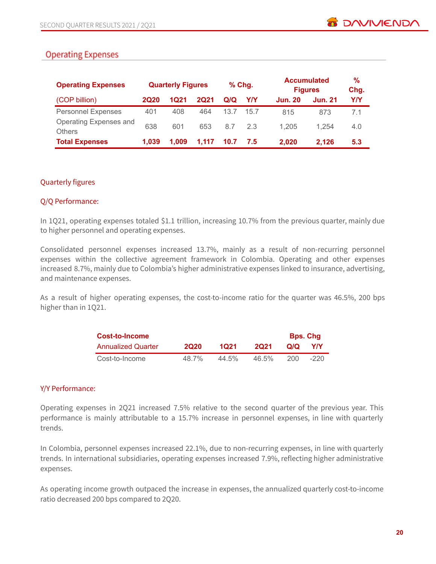# **Operating Expenses**

| <b>Operating Expenses</b>               |             |       | <b>Quarterly Figures</b> |      | $%$ Chg. | <b>Accumulated</b><br><b>Figures</b> |                | %<br>Chg. |
|-----------------------------------------|-------------|-------|--------------------------|------|----------|--------------------------------------|----------------|-----------|
| (COP billion)                           | <b>2Q20</b> | 1Q21  | <b>2Q21</b>              | Q/Q  | YN       | <b>Jun. 20</b>                       | <b>Jun. 21</b> | Y/Y       |
| <b>Personnel Expenses</b>               | 401         | 408   | 464                      | 13.7 | 15.7     | 815                                  | 873            | 7.1       |
| Operating Expenses and<br><b>Others</b> | 638         | 601   | 653                      | 8.7  | 2.3      | 1.205                                | 1.254          | 4.0       |
| <b>Total Expenses</b>                   | 1.039       | 1.009 | 1.117                    | 10.7 | 7.5      | 2.020                                | 2.126          | 5.3       |

#### Quarterly figures

#### Q/Q Performance:

In 1Q21, operating expenses totaled \$1.1 trillion, increasing 10.7% from the previous quarter, mainly due to higher personnel and operating expenses.

Consolidated personnel expenses increased 13.7%, mainly as a result of non-recurring personnel expenses within the collective agreement framework in Colombia. Operating and other expenses increased 8.7%, mainly due to Colombia's higher administrative expenses linked to insurance, advertising, and maintenance expenses.

As a result of higher operating expenses, the cost-to-income ratio for the quarter was 46.5%, 200 bps higher than in 1Q21.

| Cost-to-Income            | <b>Bps. Chg</b> |       |          |     |      |
|---------------------------|-----------------|-------|----------|-----|------|
| <b>Annualized Quarter</b> | <b>2020</b>     | 1021  | 2021     | Q/Q | YIY  |
| Cost-to-Income            | 48.7%           | 44.5% | $46.5\%$ | 200 | -220 |

#### Y/Y Performance:

Operating expenses in 2Q21 increased 7.5% relative to the second quarter of the previous year. This performance is mainly attributable to a 15.7% increase in personnel expenses, in line with quarterly trends.

In Colombia, personnel expenses increased 22.1%, due to non-recurring expenses, in line with quarterly trends. In international subsidiaries, operating expenses increased 7.9%, reflecting higher administrative expenses.

As operating income growth outpaced the increase in expenses, the annualized quarterly cost-to-income ratio decreased 200 bps compared to 2Q20.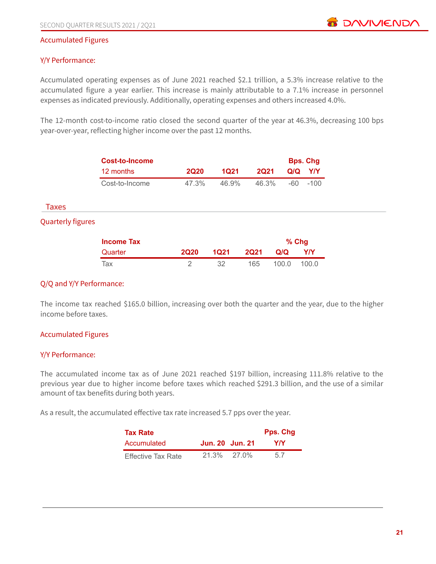#### Accumulated Figures

#### Y/Y Performance:

Accumulated operating expenses as of June 2021 reached \$2.1 trillion, a 5.3% increase relative to the accumulated figure a year earlier. This increase is mainly attributable to a 7.1% increase in personnel expenses as indicated previously. Additionally, operating expenses and others increased 4.0%.

The 12-month cost-to-income ratio closed the second quarter of the year at 46.3%, decreasing 100 bps year-over-year, reflecting higher income over the past 12 months.

|                          | <b>Cost-to-Income</b> |             |             |             |       | <b>Bps. Chg</b> |
|--------------------------|-----------------------|-------------|-------------|-------------|-------|-----------------|
|                          | 12 months             | <b>2Q20</b> | <b>1Q21</b> | <b>2Q21</b> | Q/Q   | Y/Y             |
|                          | Cost-to-Income        | 47.3%       | 46.9%       | 46.3%       | $-60$ | $-100$          |
| Taxes                    |                       |             |             |             |       |                 |
| <b>Quarterly figures</b> |                       |             |             |             |       |                 |
|                          | <b>Income Tax</b>     |             |             |             |       | $%$ Chg         |
|                          | Quarter               | <b>2Q20</b> | <b>1Q21</b> | <b>2Q21</b> | Q/Q   | <b>Y/Y</b>      |
|                          | Tax                   | 2           | 32          | 165         | 100.0 | 100.0           |

#### Q/Q and Y/Y Performance:

The income tax reached \$165.0 billion, increasing over both the quarter and the year, due to the higher income before taxes.

#### Accumulated Figures

#### Y/Y Performance:

The accumulated income tax as of June 2021 reached \$197 billion, increasing 111.8% relative to the previous year due to higher income before taxes which reached \$291.3 billion, and the use of a similar amount of tax benefits during both years.

As a result, the accumulated effective tax rate increased 5.7 pps over the year.

| <b>Tax Rate</b>           | Pps. Chq        |       |     |
|---------------------------|-----------------|-------|-----|
| Accumulated               | Jun. 20 Jun. 21 |       | Y/Y |
| <b>Effective Tax Rate</b> | $21.3\%$        | 27.0% | 57  |